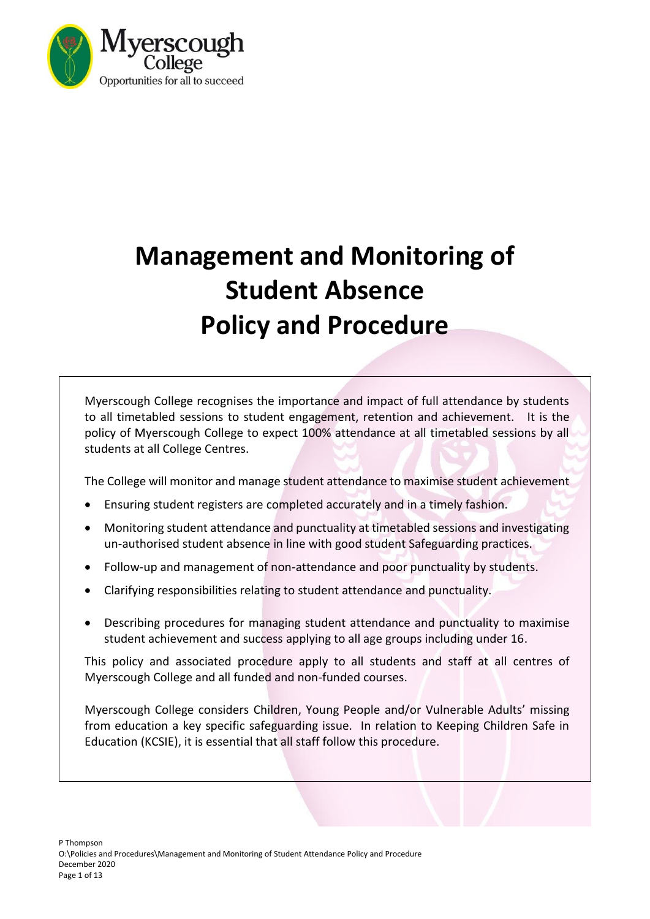

# **Management and Monitoring of Student Absence Policy and Procedure**

Myerscough College recognises the importance and impact of full attendance by students to all timetabled sessions to student engagement, retention and achievement. It is the policy of Myerscough College to expect 100% attendance at all timetabled sessions by all students at all College Centres.

The College will monitor and manage student attendance to maximise student achievement

- Ensuring student registers are completed accurately and in a timely fashion.
- Monitoring student attendance and punctuality at timetabled sessions and investigating un-authorised student absence in line with good student Safeguarding practices.
- Follow-up and management of non-attendance and poor punctuality by students.
- Clarifying responsibilities relating to student attendance and punctuality.
- Describing procedures for managing student attendance and punctuality to maximise student achievement and success applying to all age groups including under 16.

This policy and associated procedure apply to all students and staff at all centres of Myerscough College and all funded and non-funded courses.

Myerscough College considers Children, Young People and/or Vulnerable Adults' missing from education a key specific safeguarding issue. In relation to Keeping Children Safe in Education (KCSIE), it is essential that all staff follow this procedure.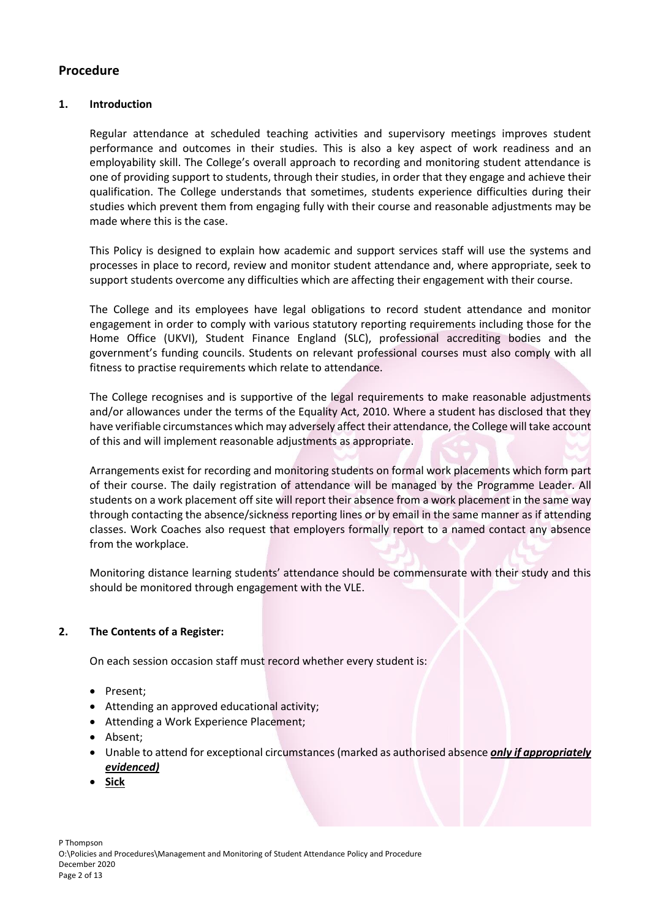# **Procedure**

## **1. Introduction**

Regular attendance at scheduled teaching activities and supervisory meetings improves student performance and outcomes in their studies. This is also a key aspect of work readiness and an employability skill. The College's overall approach to recording and monitoring student attendance is one of providing support to students, through their studies, in order that they engage and achieve their qualification. The College understands that sometimes, students experience difficulties during their studies which prevent them from engaging fully with their course and reasonable adjustments may be made where this is the case.

This Policy is designed to explain how academic and support services staff will use the systems and processes in place to record, review and monitor student attendance and, where appropriate, seek to support students overcome any difficulties which are affecting their engagement with their course.

The College and its employees have legal obligations to record student attendance and monitor engagement in order to comply with various statutory reporting requirements including those for the Home Office (UKVI), Student Finance England (SLC), professional accrediting bodies and the government's funding councils. Students on relevant professional courses must also comply with all fitness to practise requirements which relate to attendance.

The College recognises and is supportive of the legal requirements to make reasonable adjustments and/or allowances under the terms of the Equality Act, 2010. Where a student has disclosed that they have verifiable circumstances which may adversely affect their attendance, the College will take account of this and will implement reasonable adjustments as appropriate.

Arrangements exist for recording and monitoring students on formal work placements which form part of their course. The daily registration of attendance will be managed by the Programme Leader. All students on a work placement off site will report their absence from a work placement in the same way through contacting the absence/sickness reporting lines or by email in the same manner as if attending classes. Work Coaches also request that employers formally report to a named contact any absence from the workplace.

Monitoring distance learning students' attendance should be commensurate with their study and this should be monitored through engagement with the VLE.

## **2. The Contents of a Register:**

On each session occasion staff must record whether every student is:

- Present;
- Attending an approved educational activity;
- Attending a Work Experience Placement;
- Absent;
- Unable to attend for exceptional circumstances (marked as authorised absence *only if appropriately evidenced)*
- **Sick**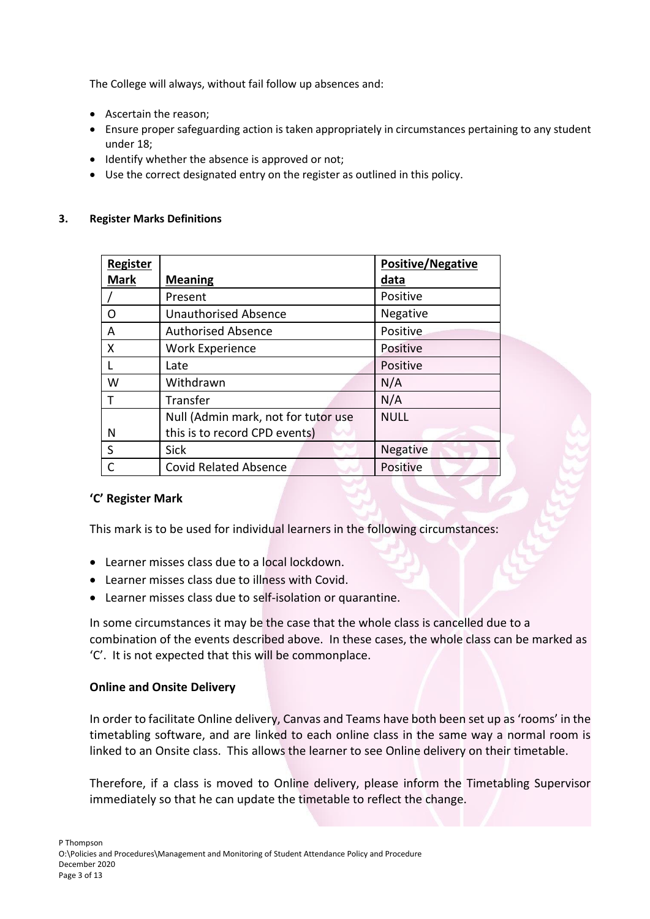The College will always, without fail follow up absences and:

- Ascertain the reason;
- Ensure proper safeguarding action is taken appropriately in circumstances pertaining to any student under 18;
- Identify whether the absence is approved or not;
- Use the correct designated entry on the register as outlined in this policy.

# **3. Register Marks Definitions**

| Register    |                                     | <b>Positive/Negative</b> |
|-------------|-------------------------------------|--------------------------|
| <b>Mark</b> | <b>Meaning</b>                      | data                     |
|             | Present                             | Positive                 |
| O           | <b>Unauthorised Absence</b>         | Negative                 |
| A           | <b>Authorised Absence</b>           | <b>Positive</b>          |
| X           | <b>Work Experience</b>              | <b>Positive</b>          |
|             | Late                                | Positive                 |
| W           | Withdrawn                           | N/A                      |
|             | Transfer                            | N/A                      |
|             | Null (Admin mark, not for tutor use | <b>NULL</b>              |
| N           | this is to record CPD events)       |                          |
| S           | <b>Sick</b>                         | Negative                 |
|             | <b>Covid Related Absence</b>        | Positive                 |

# **'C' Register Mark**

This mark is to be used for individual learners in the following circumstances:

- Learner misses class due to a local lockdown.
- Learner misses class due to illness with Covid.
- Learner misses class due to self-isolation or quarantine.

In some circumstances it may be the case that the whole class is cancelled due to a combination of the events described above. In these cases, the whole class can be marked as 'C'. It is not expected that this will be commonplace.

# **Online and Onsite Delivery**

In order to facilitate Online delivery, Canvas and Teams have both been set up as 'rooms' in the timetabling software, and are linked to each online class in the same way a normal room is linked to an Onsite class. This allows the learner to see Online delivery on their timetable.

Therefore, if a class is moved to Online delivery, please inform the Timetabling Supervisor immediately so that he can update the timetable to reflect the change.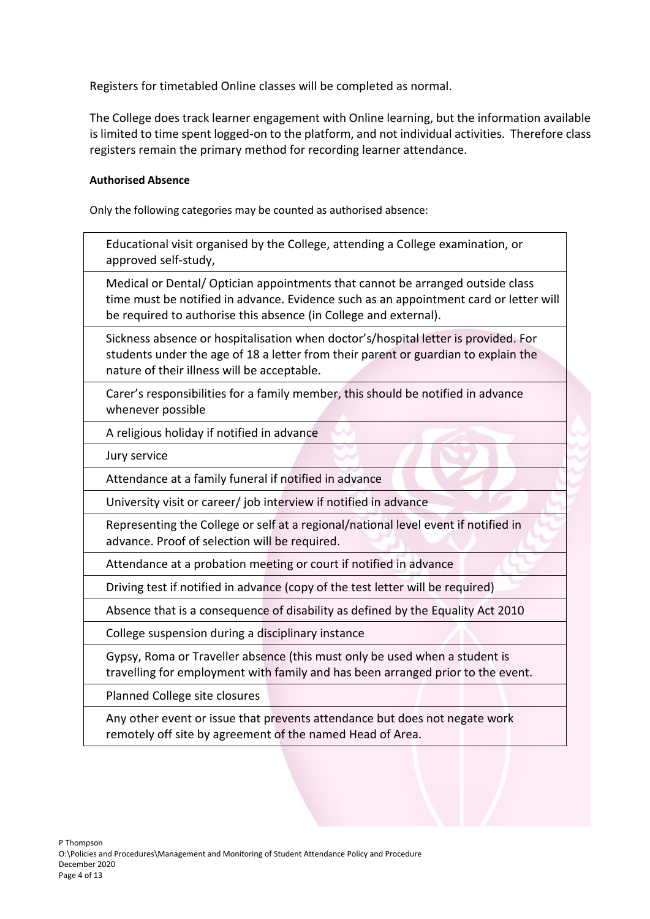Registers for timetabled Online classes will be completed as normal.

The College does track learner engagement with Online learning, but the information available is limited to time spent logged-on to the platform, and not individual activities. Therefore class registers remain the primary method for recording learner attendance.

## **Authorised Absence**

Only the following categories may be counted as authorised absence:

| Educational visit organised by the College, attending a College examination, or |
|---------------------------------------------------------------------------------|
| approved self-study,                                                            |

Medical or Dental/ Optician appointments that cannot be arranged outside class time must be notified in advance. Evidence such as an appointment card or letter will be required to authorise this absence (in College and external).

Sickness absence or hospitalisation when doctor's/hospital letter is provided. For students under the age of 18 a letter from their parent or guardian to explain the nature of their illness will be acceptable.

Carer's responsibilities for a family member, this should be notified in advance whenever possible

A religious holiday if notified in advance

Jury service

Attendance at a family funeral if notified in advance

University visit or career/ job interview if notified in advance

Representing the College or self at a regional/national level event if notified in advance. Proof of selection will be required.

Attendance at a probation meeting or court if notified in advance

Driving test if notified in advance (copy of the test letter will be required)

Absence that is a consequence of disability as defined by the Equality Act 2010

College suspension during a disciplinary instance

Gypsy, Roma or Traveller absence (this must only be used when a student is travelling for employment with family and has been arranged prior to the event.

Planned College site closures

Any other event or issue that prevents attendance but does not negate work remotely off site by agreement of the named Head of Area.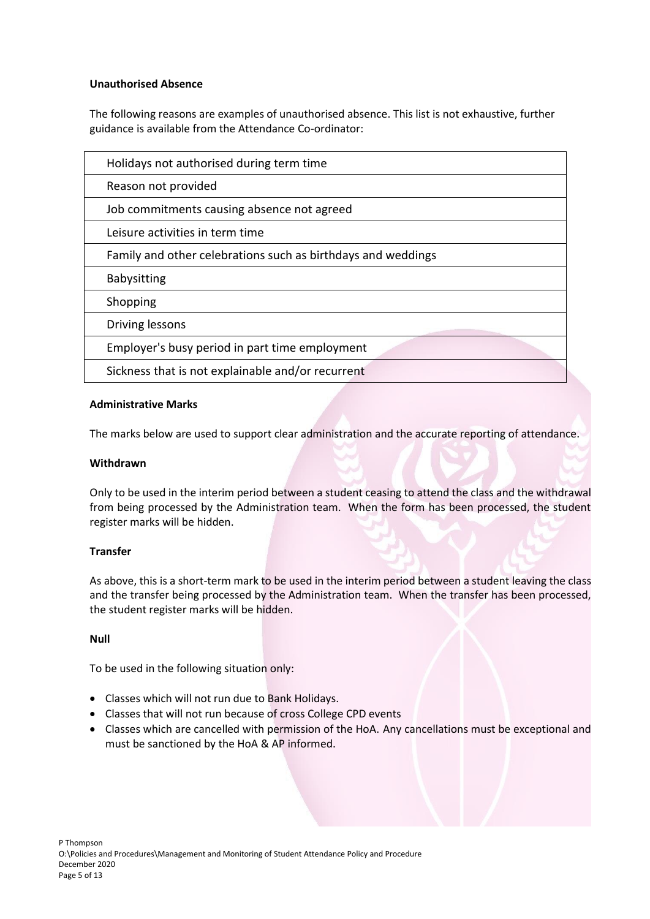## **Unauthorised Absence**

The following reasons are examples of unauthorised absence. This list is not exhaustive, further guidance is available from the Attendance Co-ordinator:

| Holidays not authorised during term time                     |  |
|--------------------------------------------------------------|--|
| Reason not provided                                          |  |
| Job commitments causing absence not agreed                   |  |
| Leisure activities in term time                              |  |
| Family and other celebrations such as birthdays and weddings |  |
| <b>Babysitting</b>                                           |  |
| Shopping                                                     |  |
| Driving lessons                                              |  |
| Employer's busy period in part time employment               |  |
| Sickness that is not explainable and/or recurrent            |  |

## **Administrative Marks**

The marks below are used to support clear administration and the accurate reporting of attendance.

## **Withdrawn**

Only to be used in the interim period between a student ceasing to attend the class and the withdrawal from being processed by the Administration team. When the form has been processed, the student register marks will be hidden.

## **Transfer**

As above, this is a short-term mark to be used in the interim period between a student leaving the class and the transfer being processed by the Administration team. When the transfer has been processed, the student register marks will be hidden.

## **Null**

To be used in the following situation only:

- Classes which will not run due to Bank Holidays.
- Classes that will not run because of cross College CPD events
- Classes which are cancelled with permission of the HoA. Any cancellations must be exceptional and must be sanctioned by the HoA & AP informed.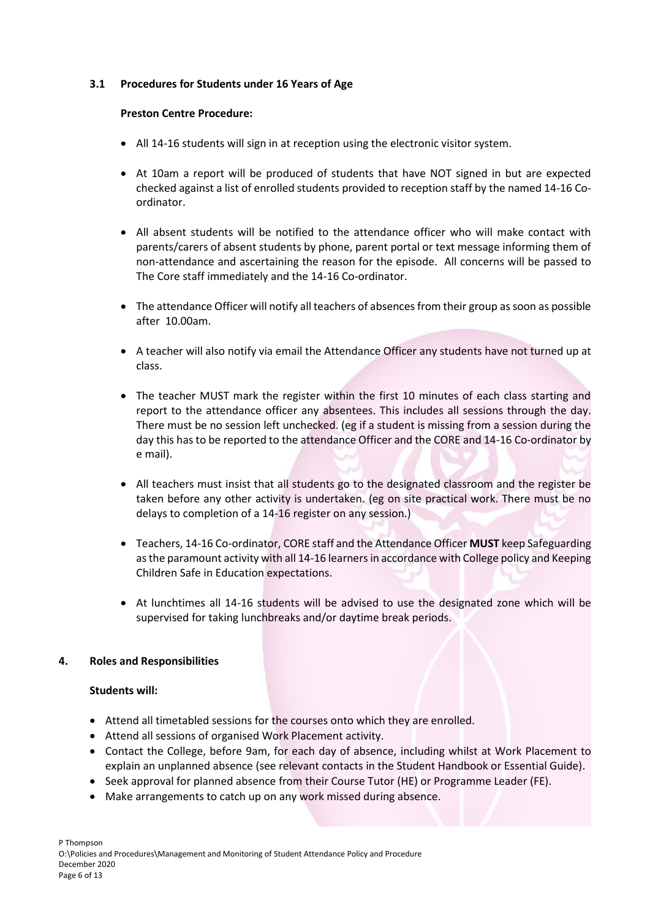## **3.1 Procedures for Students under 16 Years of Age**

#### **Preston Centre Procedure:**

- All 14-16 students will sign in at reception using the electronic visitor system.
- At 10am a report will be produced of students that have NOT signed in but are expected checked against a list of enrolled students provided to reception staff by the named 14-16 Coordinator.
- All absent students will be notified to the attendance officer who will make contact with parents/carers of absent students by phone, parent portal or text message informing them of non-attendance and ascertaining the reason for the episode. All concerns will be passed to The Core staff immediately and the 14-16 Co-ordinator.
- The attendance Officer will notify all teachers of absences from their group as soon as possible after 10.00am.
- A teacher will also notify via email the Attendance Officer any students have not turned up at class.
- The teacher MUST mark the register within the first 10 minutes of each class starting and report to the attendance officer any absentees. This includes all sessions through the day. There must be no session left unchecked. (eg if a student is missing from a session during the day this has to be reported to the attendance Officer and the CORE and 14-16 Co-ordinator by e mail).
- All teachers must insist that all students go to the designated classroom and the register be taken before any other activity is undertaken. (eg on site practical work. There must be no delays to completion of a 14-16 register on any session.)
- Teachers, 14-16 Co-ordinator, CORE staff and the Attendance Officer **MUST** keep Safeguarding as the paramount activity with all 14-16 learners in accordance with College policy and Keeping Children Safe in Education expectations.
- At lunchtimes all 14-16 students will be advised to use the designated zone which will be supervised for taking lunchbreaks and/or daytime break periods.

## **4. Roles and Responsibilities**

## **Students will:**

- Attend all timetabled sessions for the courses onto which they are enrolled.
- Attend all sessions of organised Work Placement activity.
- Contact the College, before 9am, for each day of absence, including whilst at Work Placement to explain an unplanned absence (see relevant contacts in the Student Handbook or Essential Guide).
- Seek approval for planned absence from their Course Tutor (HE) or Programme Leader (FE).
- Make arrangements to catch up on any work missed during absence.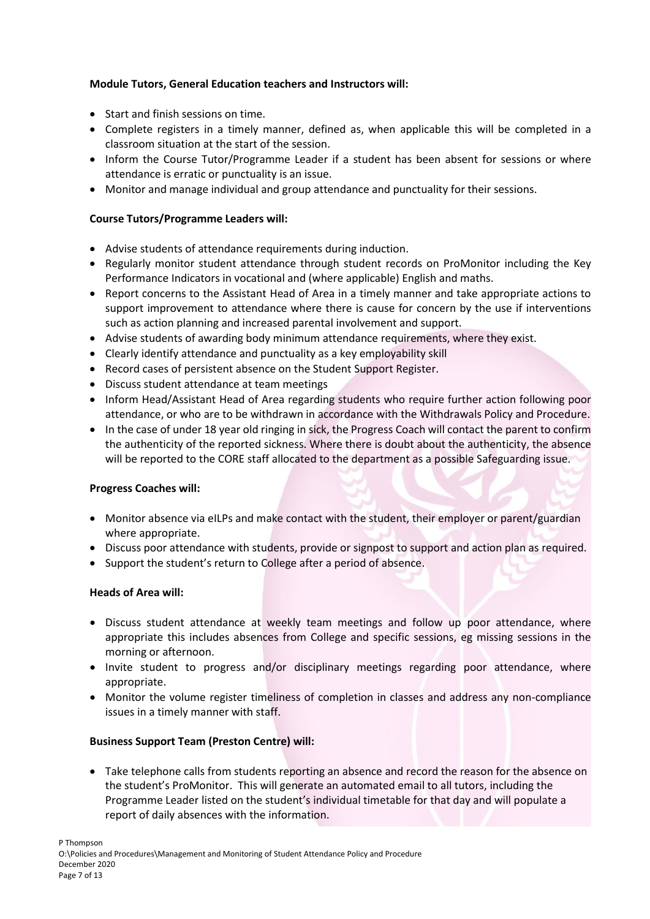# **Module Tutors, General Education teachers and Instructors will:**

- Start and finish sessions on time.
- Complete registers in a timely manner, defined as, when applicable this will be completed in a classroom situation at the start of the session.
- Inform the Course Tutor/Programme Leader if a student has been absent for sessions or where attendance is erratic or punctuality is an issue.
- Monitor and manage individual and group attendance and punctuality for their sessions.

# **Course Tutors/Programme Leaders will:**

- Advise students of attendance requirements during induction.
- Regularly monitor student attendance through student records on ProMonitor including the Key Performance Indicators in vocational and (where applicable) English and maths.
- Report concerns to the Assistant Head of Area in a timely manner and take appropriate actions to support improvement to attendance where there is cause for concern by the use if interventions such as action planning and increased parental involvement and support.
- Advise students of awarding body minimum attendance requirements, where they exist.
- Clearly identify attendance and punctuality as a key employability skill
- Record cases of persistent absence on the Student Support Register.
- Discuss student attendance at team meetings
- Inform Head/Assistant Head of Area regarding students who require further action following poor attendance, or who are to be withdrawn in accordance with the Withdrawals Policy and Procedure.
- In the case of under 18 year old ringing in sick, the Progress Coach will contact the parent to confirm the authenticity of the reported sickness. Where there is doubt about the authenticity, the absence will be reported to the CORE staff allocated to the department as a possible Safeguarding issue.

# **Progress Coaches will:**

- Monitor absence via eILPs and make contact with the student, their employer or parent/guardian where appropriate.
- Discuss poor attendance with students, provide or signpost to support and action plan as required.
- Support the student's return to College after a period of absence.

# **Heads of Area will:**

- Discuss student attendance at weekly team meetings and follow up poor attendance, where appropriate this includes absences from College and specific sessions, eg missing sessions in the morning or afternoon.
- Invite student to progress and/or disciplinary meetings regarding poor attendance, where appropriate.
- Monitor the volume register timeliness of completion in classes and address any non-compliance issues in a timely manner with staff.

# **Business Support Team (Preston Centre) will:**

• Take telephone calls from students reporting an absence and record the reason for the absence on the student's ProMonitor. This will generate an automated email to all tutors, including the Programme Leader listed on the student's individual timetable for that day and will populate a report of daily absences with the information.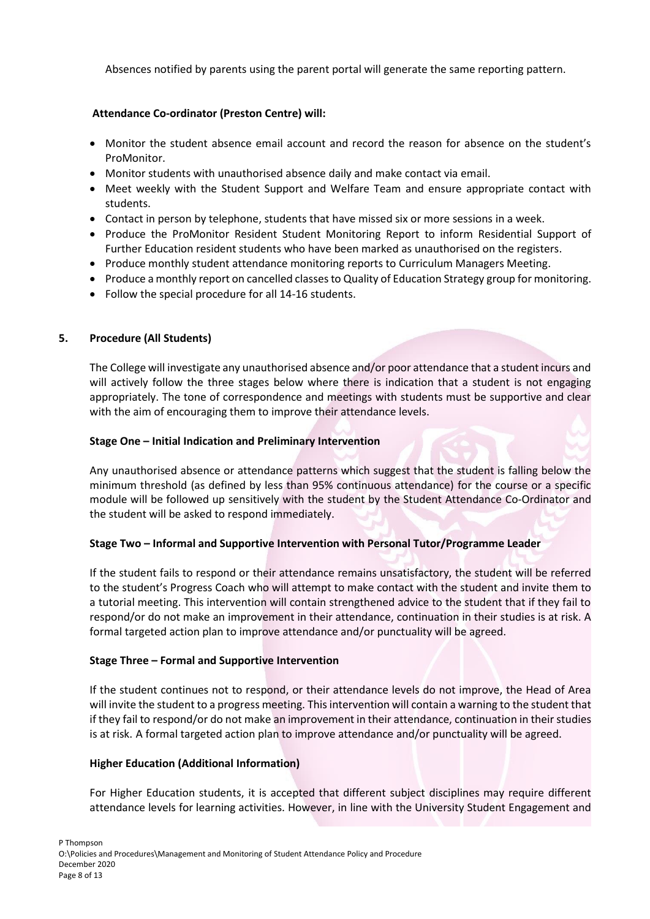Absences notified by parents using the parent portal will generate the same reporting pattern.

# **Attendance Co-ordinator (Preston Centre) will:**

- Monitor the student absence email account and record the reason for absence on the student's ProMonitor.
- Monitor students with unauthorised absence daily and make contact via email.
- Meet weekly with the Student Support and Welfare Team and ensure appropriate contact with students.
- Contact in person by telephone, students that have missed six or more sessions in a week.
- Produce the ProMonitor Resident Student Monitoring Report to inform Residential Support of Further Education resident students who have been marked as unauthorised on the registers.
- Produce monthly student attendance monitoring reports to Curriculum Managers Meeting.
- Produce a monthly report on cancelled classes to Quality of Education Strategy group for monitoring.
- Follow the special procedure for all 14-16 students.

# **5. Procedure (All Students)**

The College will investigate any unauthorised absence and/or poor attendance that a student incurs and will actively follow the three stages below where there is indication that a student is not engaging appropriately. The tone of correspondence and meetings with students must be supportive and clear with the aim of encouraging them to improve their attendance levels.

# **Stage One – Initial Indication and Preliminary Intervention**

Any unauthorised absence or attendance patterns which suggest that the student is falling below the minimum threshold (as defined by less than 95% continuous attendance) for the course or a specific module will be followed up sensitively with the student by the Student Attendance Co-Ordinator and the student will be asked to respond immediately.

# **Stage Two – Informal and Supportive Intervention with Personal Tutor/Programme Leader**

If the student fails to respond or their attendance remains unsatisfactory, the student will be referred to the student's Progress Coach who will attempt to make contact with the student and invite them to a tutorial meeting. This intervention will contain strengthened advice to the student that if they fail to respond/or do not make an improvement in their attendance, continuation in their studies is at risk. A formal targeted action plan to improve attendance and/or punctuality will be agreed.

# **Stage Three – Formal and Supportive Intervention**

If the student continues not to respond, or their attendance levels do not improve, the Head of Area will invite the student to a progress meeting. This intervention will contain a warning to the student that if they fail to respond/or do not make an improvement in their attendance, continuation in their studies is at risk. A formal targeted action plan to improve attendance and/or punctuality will be agreed.

# **Higher Education (Additional Information)**

For Higher Education students, it is accepted that different subject disciplines may require different attendance levels for learning activities. However, in line with the University Student Engagement and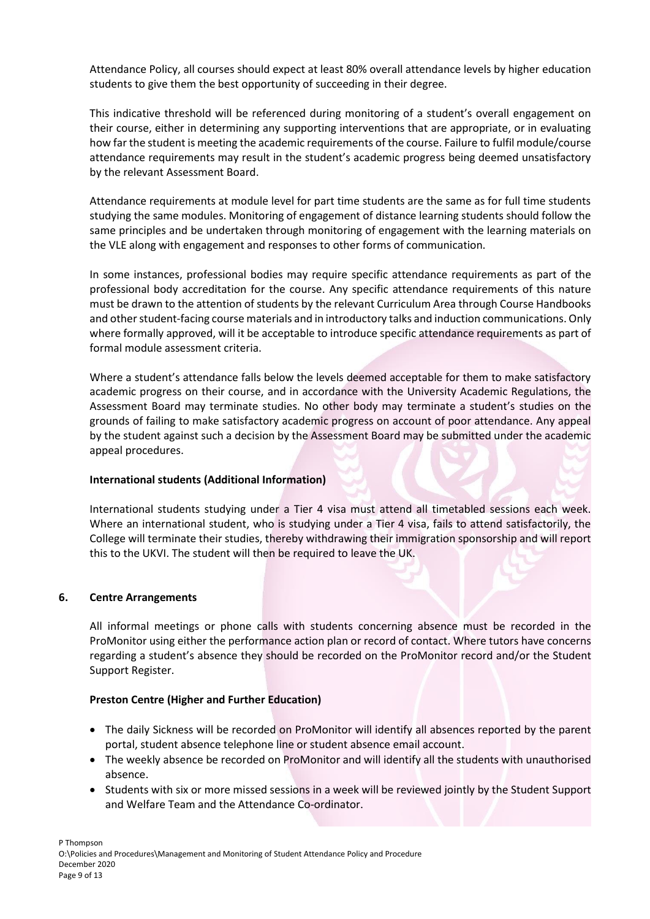Attendance Policy, all courses should expect at least 80% overall attendance levels by higher education students to give them the best opportunity of succeeding in their degree.

This indicative threshold will be referenced during monitoring of a student's overall engagement on their course, either in determining any supporting interventions that are appropriate, or in evaluating how far the student is meeting the academic requirements of the course. Failure to fulfil module/course attendance requirements may result in the student's academic progress being deemed unsatisfactory by the relevant Assessment Board.

Attendance requirements at module level for part time students are the same as for full time students studying the same modules. Monitoring of engagement of distance learning students should follow the same principles and be undertaken through monitoring of engagement with the learning materials on the VLE along with engagement and responses to other forms of communication.

In some instances, professional bodies may require specific attendance requirements as part of the professional body accreditation for the course. Any specific attendance requirements of this nature must be drawn to the attention of students by the relevant Curriculum Area through Course Handbooks and other student-facing course materials and in introductory talks and induction communications. Only where formally approved, will it be acceptable to introduce specific attendance requirements as part of formal module assessment criteria.

Where a student's attendance falls below the levels deemed acceptable for them to make satisfactory academic progress on their course, and in accordance with the University Academic Regulations, the Assessment Board may terminate studies. No other body may terminate a student's studies on the grounds of failing to make satisfactory academic progress on account of poor attendance. Any appeal by the student against such a decision by the Assessment Board may be submitted under the academic appeal procedures.

# **International students (Additional Information)**

International students studying under a Tier 4 visa must attend all timetabled sessions each week. Where an international student, who is studying under a Tier 4 visa, fails to attend satisfactorily, the College will terminate their studies, thereby withdrawing their immigration sponsorship and will report this to the UKVI. The student will then be required to leave the UK.

## **6. Centre Arrangements**

All informal meetings or phone calls with students concerning absence must be recorded in the ProMonitor using either the performance action plan or record of contact. Where tutors have concerns regarding a student's absence they should be recorded on the ProMonitor record and/or the Student Support Register.

## **Preston Centre (Higher and Further Education)**

- The daily Sickness will be recorded on ProMonitor will identify all absences reported by the parent portal, student absence telephone line or student absence email account.
- The weekly absence be recorded on ProMonitor and will identify all the students with unauthorised absence.
- Students with six or more missed sessions in a week will be reviewed jointly by the Student Support and Welfare Team and the Attendance Co-ordinator.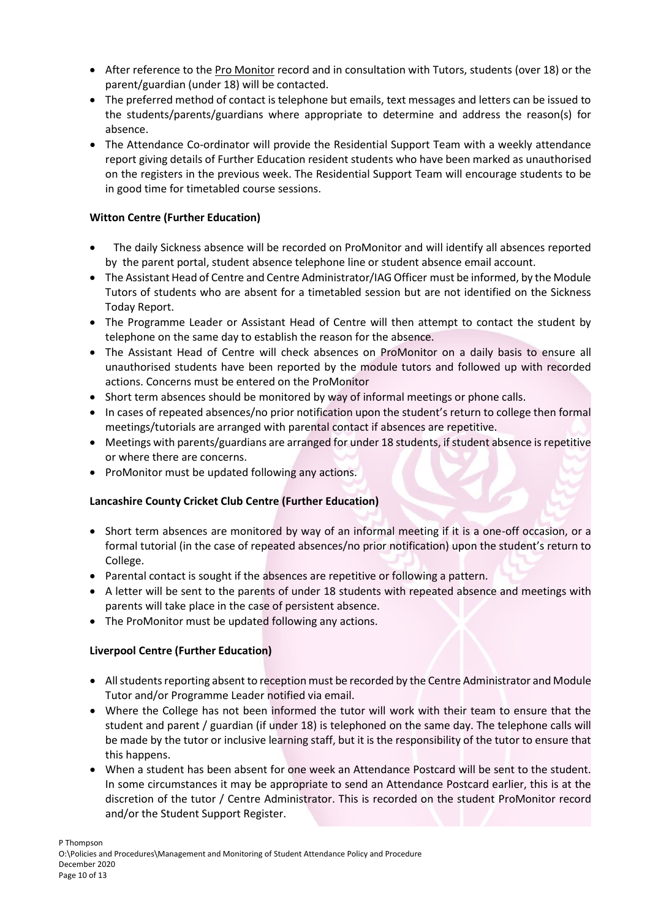- After reference to the Pro Monitor record and in consultation with Tutors, students (over 18) or the parent/guardian (under 18) will be contacted.
- The preferred method of contact is telephone but emails, text messages and letters can be issued to the students/parents/guardians where appropriate to determine and address the reason(s) for absence.
- The Attendance Co-ordinator will provide the Residential Support Team with a weekly attendance report giving details of Further Education resident students who have been marked as unauthorised on the registers in the previous week. The Residential Support Team will encourage students to be in good time for timetabled course sessions.

# **Witton Centre (Further Education)**

- The daily Sickness absence will be recorded on ProMonitor and will identify all absences reported by the parent portal, student absence telephone line or student absence email account.
- The Assistant Head of Centre and Centre Administrator/IAG Officer must be informed, by the Module Tutors of students who are absent for a timetabled session but are not identified on the Sickness Today Report.
- The Programme Leader or Assistant Head of Centre will then attempt to contact the student by telephone on the same day to establish the reason for the absence.
- The Assistant Head of Centre will check absences on ProMonitor on a daily basis to ensure all unauthorised students have been reported by the module tutors and followed up with recorded actions. Concerns must be entered on the ProMonitor
- Short term absences should be monitored by way of informal meetings or phone calls.
- In cases of repeated absences/no prior notification upon the student's return to college then formal meetings/tutorials are arranged with parental contact if absences are repetitive.
- Meetings with parents/guardians are arranged for under 18 students, if student absence is repetitive or where there are concerns.
- ProMonitor must be updated following any actions.

# **Lancashire County Cricket Club Centre (Further Education)**

- Short term absences are monitored by way of an informal meeting if it is a one-off occasion, or a formal tutorial (in the case of repeated absences/no prior notification) upon the student's return to College.
- Parental contact is sought if the absences are repetitive or following a pattern.
- A letter will be sent to the parents of under 18 students with repeated absence and meetings with parents will take place in the case of persistent absence.
- The ProMonitor must be updated following any actions.

# **Liverpool Centre (Further Education)**

- All students reporting absent to reception must be recorded by the Centre Administrator and Module Tutor and/or Programme Leader notified via email.
- Where the College has not been informed the tutor will work with their team to ensure that the student and parent / guardian (if under 18) is telephoned on the same day. The telephone calls will be made by the tutor or inclusive learning staff, but it is the responsibility of the tutor to ensure that this happens.
- When a student has been absent for one week an Attendance Postcard will be sent to the student. In some circumstances it may be appropriate to send an Attendance Postcard earlier, this is at the discretion of the tutor / Centre Administrator. This is recorded on the student ProMonitor record and/or the Student Support Register.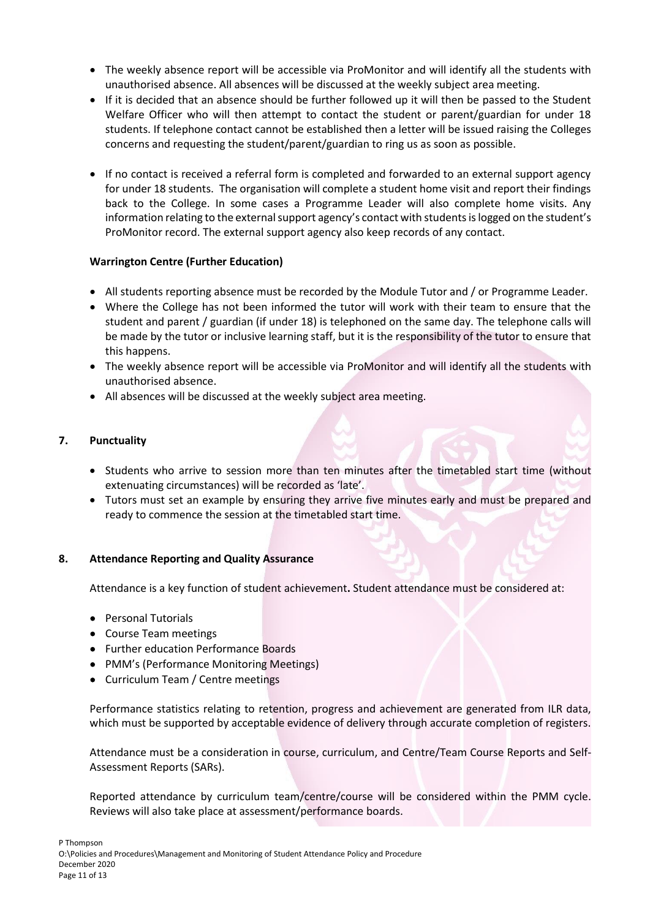- The weekly absence report will be accessible via ProMonitor and will identify all the students with unauthorised absence. All absences will be discussed at the weekly subject area meeting.
- If it is decided that an absence should be further followed up it will then be passed to the Student Welfare Officer who will then attempt to contact the student or parent/guardian for under 18 students. If telephone contact cannot be established then a letter will be issued raising the Colleges concerns and requesting the student/parent/guardian to ring us as soon as possible.
- If no contact is received a referral form is completed and forwarded to an external support agency for under 18 students. The organisation will complete a student home visit and report their findings back to the College. In some cases a Programme Leader will also complete home visits. Any information relating to the external support agency's contact with students is logged on the student's ProMonitor record. The external support agency also keep records of any contact.

# **Warrington Centre (Further Education)**

- All students reporting absence must be recorded by the Module Tutor and / or Programme Leader.
- Where the College has not been informed the tutor will work with their team to ensure that the student and parent / guardian (if under 18) is telephoned on the same day. The telephone calls will be made by the tutor or inclusive learning staff, but it is the responsibility of the tutor to ensure that this happens.
- The weekly absence report will be accessible via ProMonitor and will identify all the students with unauthorised absence.
- All absences will be discussed at the weekly subject area meeting.

## **7. Punctuality**

- Students who arrive to session more than ten minutes after the timetabled start time (without extenuating circumstances) will be recorded as 'late'.
- Tutors must set an example by ensuring they arrive five minutes early and must be prepared and ready to commence the session at the timetabled start time.

## **8. Attendance Reporting and Quality Assurance**

Attendance is a key function of student achievement**.** Student attendance must be considered at:

- Personal Tutorials
- Course Team meetings
- Further education Performance Boards
- PMM's (Performance Monitoring Meetings)
- Curriculum Team / Centre meetings

Performance statistics relating to retention, progress and achievement are generated from ILR data, which must be supported by acceptable evidence of delivery through accurate completion of registers.

Attendance must be a consideration in course, curriculum, and Centre/Team Course Reports and Self-Assessment Reports (SARs).

Reported attendance by curriculum team/centre/course will be considered within the PMM cycle. Reviews will also take place at assessment/performance boards.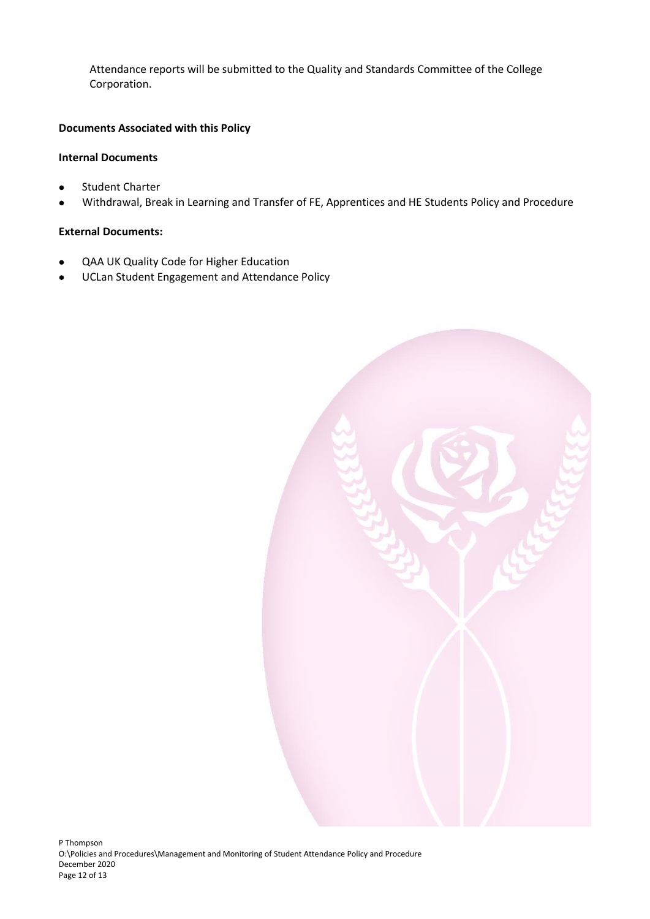Attendance reports will be submitted to the Quality and Standards Committee of the College Corporation.

# **Documents Associated with this Policy**

# **Internal Documents**

- Student Charter
- Withdrawal, Break in Learning and Transfer of FE, Apprentices and HE Students Policy and Procedure

## **External Documents:**

- QAA UK Quality Code for Higher Education
- UCLan Student Engagement and Attendance Policy